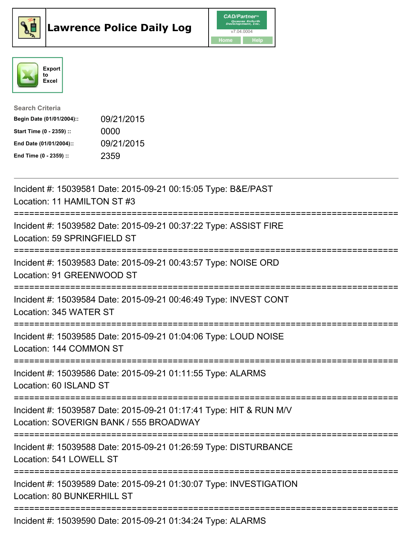





| <b>Search Criteria</b>    |            |
|---------------------------|------------|
| Begin Date (01/01/2004):: | 09/21/2015 |
| Start Time (0 - 2359) ::  | 0000       |
| End Date (01/01/2004)::   | 09/21/2015 |
| End Time (0 - 2359) ::    | 2359       |

| Incident #: 15039581 Date: 2015-09-21 00:15:05 Type: B&E/PAST<br>Location: 11 HAMILTON ST #3<br>=========================                           |
|-----------------------------------------------------------------------------------------------------------------------------------------------------|
| Incident #: 15039582 Date: 2015-09-21 00:37:22 Type: ASSIST FIRE<br>Location: 59 SPRINGFIELD ST<br>---------------<br>--------------------------    |
| Incident #: 15039583 Date: 2015-09-21 00:43:57 Type: NOISE ORD<br>Location: 91 GREENWOOD ST<br>------------                                         |
| Incident #: 15039584 Date: 2015-09-21 00:46:49 Type: INVEST CONT<br>Location: 345 WATER ST<br>--------------------------------------                |
| Incident #: 15039585 Date: 2015-09-21 01:04:06 Type: LOUD NOISE<br>Location: 144 COMMON ST                                                          |
| Incident #: 15039586 Date: 2015-09-21 01:11:55 Type: ALARMS<br>Location: 60 ISLAND ST<br>====================================                       |
| Incident #: 15039587 Date: 2015-09-21 01:17:41 Type: HIT & RUN M/V<br>Location: SOVERIGN BANK / 555 BROADWAY<br>;================================== |
| Incident #: 15039588 Date: 2015-09-21 01:26:59 Type: DISTURBANCE<br>Location: 541 LOWELL ST                                                         |
| Incident #: 15039589 Date: 2015-09-21 01:30:07 Type: INVESTIGATION<br>Location: 80 BUNKERHILL ST<br>-------------                                   |
| Incident #: 15039590 Date: 2015-09-21 01:34:24 Type: ALARMS                                                                                         |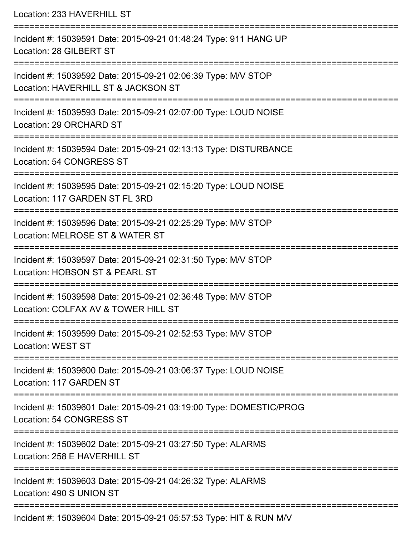| Location: 233 HAVERHILL ST                                                                                                      |
|---------------------------------------------------------------------------------------------------------------------------------|
| Incident #: 15039591 Date: 2015-09-21 01:48:24 Type: 911 HANG UP<br>Location: 28 GILBERT ST                                     |
| Incident #: 15039592 Date: 2015-09-21 02:06:39 Type: M/V STOP<br>Location: HAVERHILL ST & JACKSON ST                            |
| Incident #: 15039593 Date: 2015-09-21 02:07:00 Type: LOUD NOISE<br>Location: 29 ORCHARD ST                                      |
| Incident #: 15039594 Date: 2015-09-21 02:13:13 Type: DISTURBANCE<br>Location: 54 CONGRESS ST                                    |
| Incident #: 15039595 Date: 2015-09-21 02:15:20 Type: LOUD NOISE<br>Location: 117 GARDEN ST FL 3RD                               |
| Incident #: 15039596 Date: 2015-09-21 02:25:29 Type: M/V STOP<br>Location: MELROSE ST & WATER ST                                |
| Incident #: 15039597 Date: 2015-09-21 02:31:50 Type: M/V STOP<br>Location: HOBSON ST & PEARL ST<br>=====================        |
| Incident #: 15039598 Date: 2015-09-21 02:36:48 Type: M/V STOP<br>Location: COLFAX AV & TOWER HILL ST                            |
| Incident #: 15039599 Date: 2015-09-21 02:52:53 Type: M/V STOP<br><b>Location: WEST ST</b>                                       |
| Incident #: 15039600 Date: 2015-09-21 03:06:37 Type: LOUD NOISE<br>Location: 117 GARDEN ST                                      |
| -----------------------------<br>Incident #: 15039601 Date: 2015-09-21 03:19:00 Type: DOMESTIC/PROG<br>Location: 54 CONGRESS ST |
| Incident #: 15039602 Date: 2015-09-21 03:27:50 Type: ALARMS<br>Location: 258 E HAVERHILL ST                                     |
| Incident #: 15039603 Date: 2015-09-21 04:26:32 Type: ALARMS<br>Location: 490 S UNION ST                                         |
| Incident #: 15039604 Date: 2015-09-21 05:57:53 Type: HIT & RUN M/V                                                              |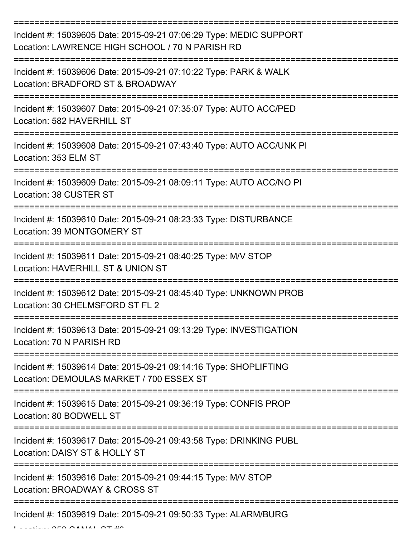| Incident #: 15039605 Date: 2015-09-21 07:06:29 Type: MEDIC SUPPORT<br>Location: LAWRENCE HIGH SCHOOL / 70 N PARISH RD                 |
|---------------------------------------------------------------------------------------------------------------------------------------|
| Incident #: 15039606 Date: 2015-09-21 07:10:22 Type: PARK & WALK<br>Location: BRADFORD ST & BROADWAY                                  |
| Incident #: 15039607 Date: 2015-09-21 07:35:07 Type: AUTO ACC/PED<br>Location: 582 HAVERHILL ST                                       |
| Incident #: 15039608 Date: 2015-09-21 07:43:40 Type: AUTO ACC/UNK PI<br>Location: 353 ELM ST                                          |
| Incident #: 15039609 Date: 2015-09-21 08:09:11 Type: AUTO ACC/NO PI<br>Location: 38 CUSTER ST<br>==================================== |
| Incident #: 15039610 Date: 2015-09-21 08:23:33 Type: DISTURBANCE<br>Location: 39 MONTGOMERY ST                                        |
| Incident #: 15039611 Date: 2015-09-21 08:40:25 Type: M/V STOP<br>Location: HAVERHILL ST & UNION ST                                    |
| Incident #: 15039612 Date: 2015-09-21 08:45:40 Type: UNKNOWN PROB<br>Location: 30 CHELMSFORD ST FL 2                                  |
| Incident #: 15039613 Date: 2015-09-21 09:13:29 Type: INVESTIGATION<br>Location: 70 N PARISH RD                                        |
| Incident #: 15039614 Date: 2015-09-21 09:14:16 Type: SHOPLIFTING<br>Location: DEMOULAS MARKET / 700 ESSEX ST                          |
| Incident #: 15039615 Date: 2015-09-21 09:36:19 Type: CONFIS PROP<br>Location: 80 BODWELL ST                                           |
| Incident #: 15039617 Date: 2015-09-21 09:43:58 Type: DRINKING PUBL<br>Location: DAISY ST & HOLLY ST                                   |
| Incident #: 15039616 Date: 2015-09-21 09:44:15 Type: M/V STOP<br>Location: BROADWAY & CROSS ST                                        |
| Incident #: 15039619 Date: 2015-09-21 09:50:33 Type: ALARM/BURG                                                                       |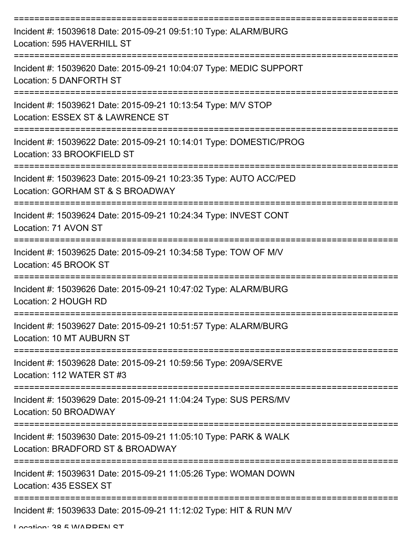| Incident #: 15039618 Date: 2015-09-21 09:51:10 Type: ALARM/BURG<br>Location: 595 HAVERHILL ST         |
|-------------------------------------------------------------------------------------------------------|
| Incident #: 15039620 Date: 2015-09-21 10:04:07 Type: MEDIC SUPPORT<br>Location: 5 DANFORTH ST         |
| Incident #: 15039621 Date: 2015-09-21 10:13:54 Type: M/V STOP<br>Location: ESSEX ST & LAWRENCE ST     |
| Incident #: 15039622 Date: 2015-09-21 10:14:01 Type: DOMESTIC/PROG<br>Location: 33 BROOKFIELD ST      |
| Incident #: 15039623 Date: 2015-09-21 10:23:35 Type: AUTO ACC/PED<br>Location: GORHAM ST & S BROADWAY |
| Incident #: 15039624 Date: 2015-09-21 10:24:34 Type: INVEST CONT<br>Location: 71 AVON ST              |
| Incident #: 15039625 Date: 2015-09-21 10:34:58 Type: TOW OF M/V<br>Location: 45 BROOK ST              |
| Incident #: 15039626 Date: 2015-09-21 10:47:02 Type: ALARM/BURG<br>Location: 2 HOUGH RD               |
| Incident #: 15039627 Date: 2015-09-21 10:51:57 Type: ALARM/BURG<br>Location: 10 MT AUBURN ST          |
| Incident #: 15039628 Date: 2015-09-21 10:59:56 Type: 209A/SERVE<br>Location: 112 WATER ST #3          |
| Incident #: 15039629 Date: 2015-09-21 11:04:24 Type: SUS PERS/MV<br>Location: 50 BROADWAY             |
| Incident #: 15039630 Date: 2015-09-21 11:05:10 Type: PARK & WALK<br>Location: BRADFORD ST & BROADWAY  |
| Incident #: 15039631 Date: 2015-09-21 11:05:26 Type: WOMAN DOWN<br>Location: 435 ESSEX ST             |
| Incident #: 15039633 Date: 2015-09-21 11:12:02 Type: HIT & RUN M/V                                    |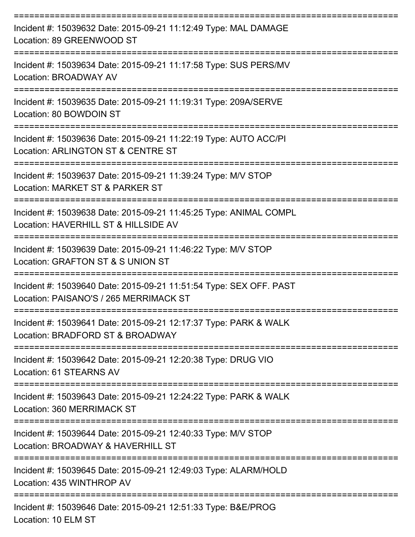| Incident #: 15039632 Date: 2015-09-21 11:12:49 Type: MAL DAMAGE<br>Location: 89 GREENWOOD ST                                     |
|----------------------------------------------------------------------------------------------------------------------------------|
| Incident #: 15039634 Date: 2015-09-21 11:17:58 Type: SUS PERS/MV<br>Location: BROADWAY AV                                        |
| Incident #: 15039635 Date: 2015-09-21 11:19:31 Type: 209A/SERVE<br>Location: 80 BOWDOIN ST                                       |
| Incident #: 15039636 Date: 2015-09-21 11:22:19 Type: AUTO ACC/PI<br>Location: ARLINGTON ST & CENTRE ST                           |
| Incident #: 15039637 Date: 2015-09-21 11:39:24 Type: M/V STOP<br>Location: MARKET ST & PARKER ST                                 |
| Incident #: 15039638 Date: 2015-09-21 11:45:25 Type: ANIMAL COMPL<br>Location: HAVERHILL ST & HILLSIDE AV                        |
| Incident #: 15039639 Date: 2015-09-21 11:46:22 Type: M/V STOP<br>Location: GRAFTON ST & S UNION ST                               |
| ================<br>Incident #: 15039640 Date: 2015-09-21 11:51:54 Type: SEX OFF. PAST<br>Location: PAISANO'S / 265 MERRIMACK ST |
| Incident #: 15039641 Date: 2015-09-21 12:17:37 Type: PARK & WALK<br>Location: BRADFORD ST & BROADWAY                             |
| Incident #: 15039642 Date: 2015-09-21 12:20:38 Type: DRUG VIO<br>Location: 61 STEARNS AV<br>==============================       |
| Incident #: 15039643 Date: 2015-09-21 12:24:22 Type: PARK & WALK<br>Location: 360 MERRIMACK ST                                   |
| Incident #: 15039644 Date: 2015-09-21 12:40:33 Type: M/V STOP<br>Location: BROADWAY & HAVERHILL ST                               |
| Incident #: 15039645 Date: 2015-09-21 12:49:03 Type: ALARM/HOLD<br>Location: 435 WINTHROP AV                                     |
| Incident #: 15039646 Date: 2015-09-21 12:51:33 Type: B&E/PROG                                                                    |

Location: 10 ELM ST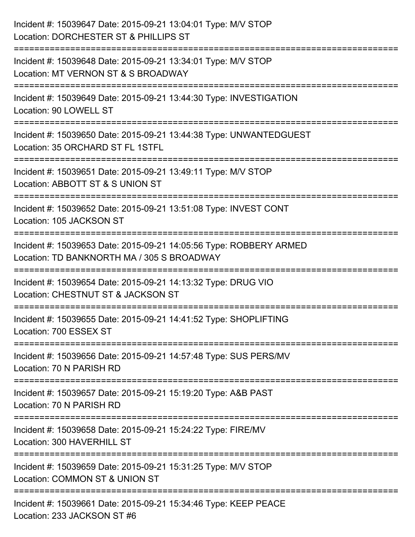| Incident #: 15039647 Date: 2015-09-21 13:04:01 Type: M/V STOP<br>Location: DORCHESTER ST & PHILLIPS ST                               |
|--------------------------------------------------------------------------------------------------------------------------------------|
| Incident #: 15039648 Date: 2015-09-21 13:34:01 Type: M/V STOP<br>Location: MT VERNON ST & S BROADWAY                                 |
| Incident #: 15039649 Date: 2015-09-21 13:44:30 Type: INVESTIGATION<br>Location: 90 LOWELL ST                                         |
| Incident #: 15039650 Date: 2015-09-21 13:44:38 Type: UNWANTEDGUEST<br>Location: 35 ORCHARD ST FL 1STFL                               |
| Incident #: 15039651 Date: 2015-09-21 13:49:11 Type: M/V STOP<br>Location: ABBOTT ST & S UNION ST                                    |
| :===================================<br>Incident #: 15039652 Date: 2015-09-21 13:51:08 Type: INVEST CONT<br>Location: 105 JACKSON ST |
| Incident #: 15039653 Date: 2015-09-21 14:05:56 Type: ROBBERY ARMED<br>Location: TD BANKNORTH MA / 305 S BROADWAY                     |
| Incident #: 15039654 Date: 2015-09-21 14:13:32 Type: DRUG VIO<br>Location: CHESTNUT ST & JACKSON ST                                  |
| Incident #: 15039655 Date: 2015-09-21 14:41:52 Type: SHOPLIFTING<br>Location: 700 ESSEX ST                                           |
| Incident #: 15039656 Date: 2015-09-21 14:57:48 Type: SUS PERS/MV<br>Location: 70 N PARISH RD                                         |
| Incident #: 15039657 Date: 2015-09-21 15:19:20 Type: A&B PAST<br>Location: 70 N PARISH RD                                            |
| Incident #: 15039658 Date: 2015-09-21 15:24:22 Type: FIRE/MV<br>Location: 300 HAVERHILL ST                                           |
| Incident #: 15039659 Date: 2015-09-21 15:31:25 Type: M/V STOP<br>Location: COMMON ST & UNION ST                                      |
| Incident #: 15039661 Date: 2015-09-21 15:34:46 Type: KEEP PEACE<br>Location: 233 JACKSON ST #6                                       |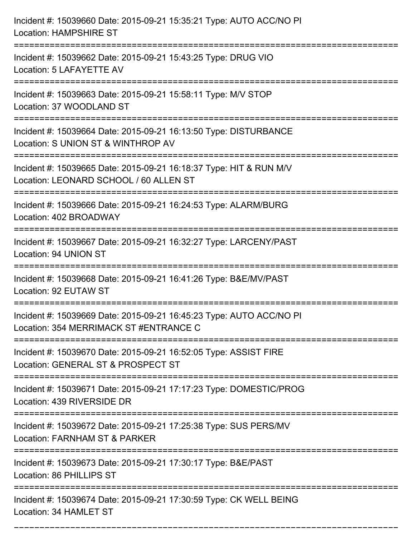| Incident #: 15039660 Date: 2015-09-21 15:35:21 Type: AUTO ACC/NO PI<br><b>Location: HAMPSHIRE ST</b>                                                      |
|-----------------------------------------------------------------------------------------------------------------------------------------------------------|
| Incident #: 15039662 Date: 2015-09-21 15:43:25 Type: DRUG VIO<br>Location: 5 LAFAYETTE AV                                                                 |
| Incident #: 15039663 Date: 2015-09-21 15:58:11 Type: M/V STOP<br>Location: 37 WOODLAND ST                                                                 |
| Incident #: 15039664 Date: 2015-09-21 16:13:50 Type: DISTURBANCE<br>Location: S UNION ST & WINTHROP AV                                                    |
| Incident #: 15039665 Date: 2015-09-21 16:18:37 Type: HIT & RUN M/V<br>Location: LEONARD SCHOOL / 60 ALLEN ST                                              |
| Incident #: 15039666 Date: 2015-09-21 16:24:53 Type: ALARM/BURG<br>Location: 402 BROADWAY                                                                 |
| Incident #: 15039667 Date: 2015-09-21 16:32:27 Type: LARCENY/PAST<br>Location: 94 UNION ST                                                                |
| Incident #: 15039668 Date: 2015-09-21 16:41:26 Type: B&E/MV/PAST<br>Location: 92 EUTAW ST                                                                 |
| Incident #: 15039669 Date: 2015-09-21 16:45:23 Type: AUTO ACC/NO PI<br>Location: 354 MERRIMACK ST #ENTRANCE C                                             |
| Incident #: 15039670 Date: 2015-09-21 16:52:05 Type: ASSIST FIRE<br>Location: GENERAL ST & PROSPECT ST<br>:====================<br>---------------------- |
| Incident #: 15039671 Date: 2015-09-21 17:17:23 Type: DOMESTIC/PROG<br>Location: 439 RIVERSIDE DR                                                          |
| Incident #: 15039672 Date: 2015-09-21 17:25:38 Type: SUS PERS/MV<br>Location: FARNHAM ST & PARKER                                                         |
| Incident #: 15039673 Date: 2015-09-21 17:30:17 Type: B&E/PAST<br>Location: 86 PHILLIPS ST                                                                 |
| Incident #: 15039674 Date: 2015-09-21 17:30:59 Type: CK WELL BEING<br>Location: 34 HAMLET ST                                                              |

===========================================================================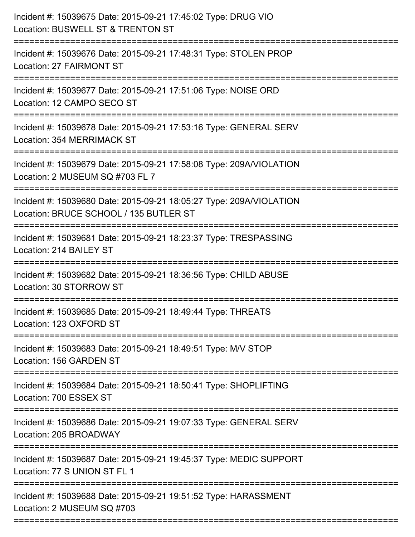| Incident #: 15039675 Date: 2015-09-21 17:45:02 Type: DRUG VIO<br>Location: BUSWELL ST & TRENTON ST<br>---------------------                 |
|---------------------------------------------------------------------------------------------------------------------------------------------|
| Incident #: 15039676 Date: 2015-09-21 17:48:31 Type: STOLEN PROP<br><b>Location: 27 FAIRMONT ST</b>                                         |
| Incident #: 15039677 Date: 2015-09-21 17:51:06 Type: NOISE ORD<br>Location: 12 CAMPO SECO ST                                                |
| Incident #: 15039678 Date: 2015-09-21 17:53:16 Type: GENERAL SERV<br>Location: 354 MERRIMACK ST                                             |
| Incident #: 15039679 Date: 2015-09-21 17:58:08 Type: 209A/VIOLATION<br>Location: 2 MUSEUM SQ #703 FL 7<br>================================= |
| Incident #: 15039680 Date: 2015-09-21 18:05:27 Type: 209A/VIOLATION<br>Location: BRUCE SCHOOL / 135 BUTLER ST                               |
| Incident #: 15039681 Date: 2015-09-21 18:23:37 Type: TRESPASSING<br>Location: 214 BAILEY ST<br>;============================                |
| Incident #: 15039682 Date: 2015-09-21 18:36:56 Type: CHILD ABUSE<br>Location: 30 STORROW ST                                                 |
| Incident #: 15039685 Date: 2015-09-21 18:49:44 Type: THREATS<br>Location: 123 OXFORD ST                                                     |
| Incident #: 15039683 Date: 2015-09-21 18:49:51 Type: M/V STOP<br>Location: 156 GARDEN ST                                                    |
| Incident #: 15039684 Date: 2015-09-21 18:50:41 Type: SHOPLIFTING<br>Location: 700 ESSEX ST                                                  |
| Incident #: 15039686 Date: 2015-09-21 19:07:33 Type: GENERAL SERV<br>Location: 205 BROADWAY                                                 |
| Incident #: 15039687 Date: 2015-09-21 19:45:37 Type: MEDIC SUPPORT<br>Location: 77 S UNION ST FL 1                                          |
| Incident #: 15039688 Date: 2015-09-21 19:51:52 Type: HARASSMENT<br>Location: 2 MUSEUM SQ #703                                               |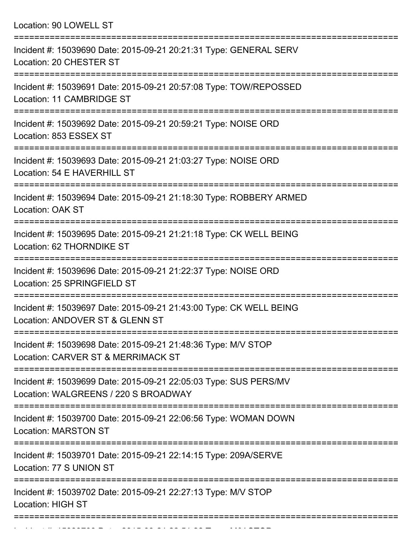Location: 90 LOWELL ST

| Incident #: 15039690 Date: 2015-09-21 20:21:31 Type: GENERAL SERV<br>Location: 20 CHESTER ST             |
|----------------------------------------------------------------------------------------------------------|
| Incident #: 15039691 Date: 2015-09-21 20:57:08 Type: TOW/REPOSSED<br>Location: 11 CAMBRIDGE ST           |
| Incident #: 15039692 Date: 2015-09-21 20:59:21 Type: NOISE ORD<br>Location: 853 ESSEX ST                 |
| Incident #: 15039693 Date: 2015-09-21 21:03:27 Type: NOISE ORD<br>Location: 54 E HAVERHILL ST            |
| Incident #: 15039694 Date: 2015-09-21 21:18:30 Type: ROBBERY ARMED<br>Location: OAK ST                   |
| Incident #: 15039695 Date: 2015-09-21 21:21:18 Type: CK WELL BEING<br>Location: 62 THORNDIKE ST          |
| Incident #: 15039696 Date: 2015-09-21 21:22:37 Type: NOISE ORD<br>Location: 25 SPRINGFIELD ST            |
| Incident #: 15039697 Date: 2015-09-21 21:43:00 Type: CK WELL BEING<br>Location: ANDOVER ST & GLENN ST    |
| Incident #: 15039698 Date: 2015-09-21 21:48:36 Type: M/V STOP<br>Location: CARVER ST & MERRIMACK ST      |
| Incident #: 15039699 Date: 2015-09-21 22:05:03 Type: SUS PERS/MV<br>Location: WALGREENS / 220 S BROADWAY |
| Incident #: 15039700 Date: 2015-09-21 22:06:56 Type: WOMAN DOWN<br><b>Location: MARSTON ST</b>           |
| Incident #: 15039701 Date: 2015-09-21 22:14:15 Type: 209A/SERVE<br>Location: 77 S UNION ST               |
| Incident #: 15039702 Date: 2015-09-21 22:27:13 Type: M/V STOP<br><b>Location: HIGH ST</b>                |
|                                                                                                          |

Incident #: 15039703 Date: 2015 09 21 22:51:22 Type: M/V STOP